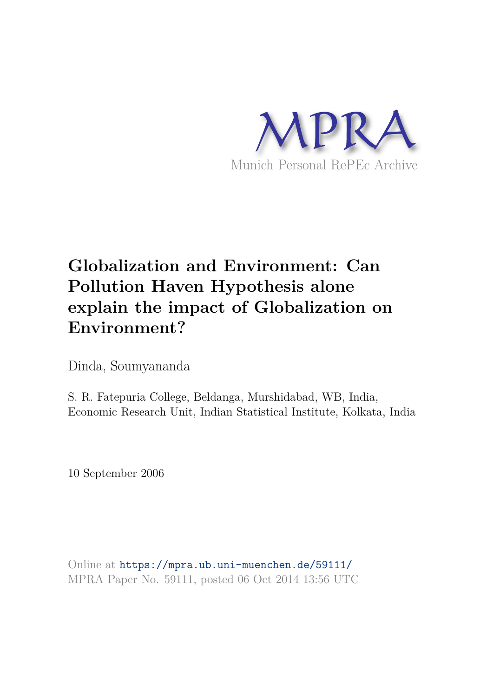

# **Globalization and Environment: Can Pollution Haven Hypothesis alone explain the impact of Globalization on Environment?**

Dinda, Soumyananda

S. R. Fatepuria College, Beldanga, Murshidabad, WB, India, Economic Research Unit, Indian Statistical Institute, Kolkata, India

10 September 2006

Online at https://mpra.ub.uni-muenchen.de/59111/ MPRA Paper No. 59111, posted 06 Oct 2014 13:56 UTC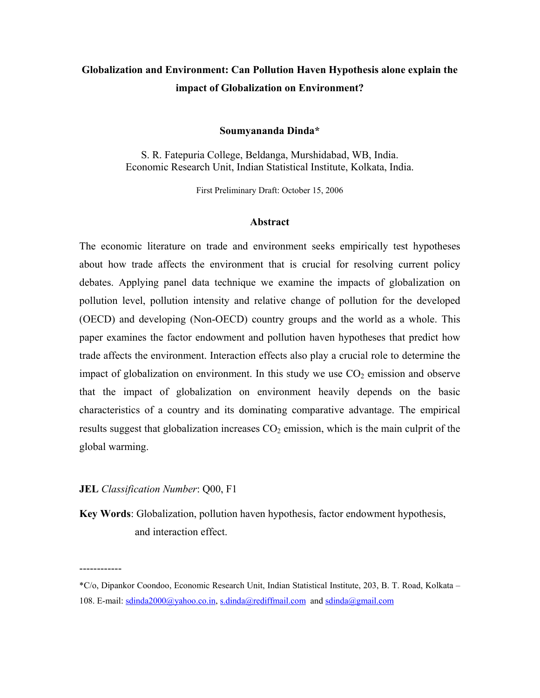## **Globalization and Environment: Can Pollution Haven Hypothesis alone explain the impact of Globalization on Environment?**

#### **Soumyananda Dinda\***

S. R. Fatepuria College, Beldanga, Murshidabad, WB, India. Economic Research Unit, Indian Statistical Institute, Kolkata, India.

First Preliminary Draft: October 15, 2006

#### **Abstract**

The economic literature on trade and environment seeks empirically test hypotheses about how trade affects the environment that is crucial for resolving current policy debates. Applying panel data technique we examine the impacts of globalization on pollution level, pollution intensity and relative change of pollution for the developed (OECD) and developing (Non-OECD) country groups and the world as a whole. This paper examines the factor endowment and pollution haven hypotheses that predict how trade affects the environment. Interaction effects also play a crucial role to determine the impact of globalization on environment. In this study we use  $CO<sub>2</sub>$  emission and observe that the impact of globalization on environment heavily depends on the basic characteristics of a country and its dominating comparative advantage. The empirical results suggest that globalization increases  $CO<sub>2</sub>$  emission, which is the main culprit of the global warming.

#### **JEL** *Classification Number*: Q00, F1

------------

**Key Words**: Globalization, pollution haven hypothesis, factor endowment hypothesis, and interaction effect.

<sup>\*</sup>C/o, Dipankor Coondoo, Economic Research Unit, Indian Statistical Institute, 203, B. T. Road, Kolkata – 108. E-mail: sdinda2000@yahoo.co.in, s.dinda@rediffmail.com and sdinda@gmail.com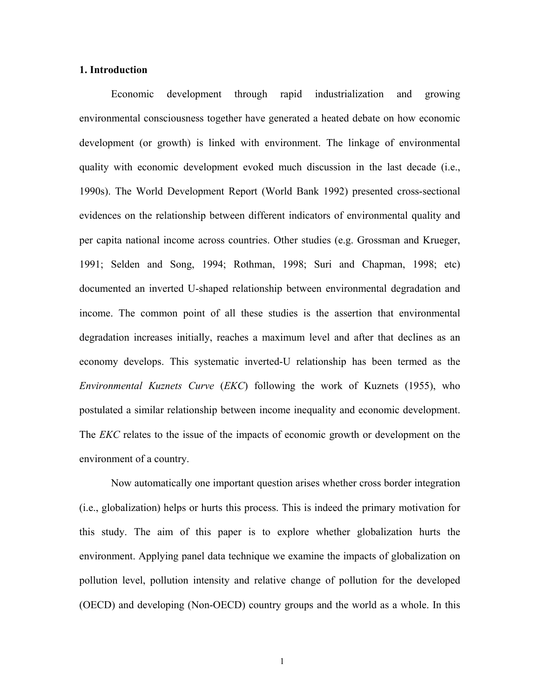#### **1. Introduction**

Economic development through rapid industrialization and growing environmental consciousness together have generated a heated debate on how economic development (or growth) is linked with environment. The linkage of environmental quality with economic development evoked much discussion in the last decade (i.e., 1990s). The World Development Report (World Bank 1992) presented cross-sectional evidences on the relationship between different indicators of environmental quality and per capita national income across countries. Other studies (e.g. Grossman and Krueger, 1991; Selden and Song, 1994; Rothman, 1998; Suri and Chapman, 1998; etc) documented an inverted U-shaped relationship between environmental degradation and income. The common point of all these studies is the assertion that environmental degradation increases initially, reaches a maximum level and after that declines as an economy develops. This systematic inverted-U relationship has been termed as the *Environmental Kuznets Curve* (*EKC*) following the work of Kuznets (1955), who postulated a similar relationship between income inequality and economic development. The *EKC* relates to the issue of the impacts of economic growth or development on the environment of a country.

Now automatically one important question arises whether cross border integration (i.e., globalization) helps or hurts this process. This is indeed the primary motivation for this study. The aim of this paper is to explore whether globalization hurts the environment. Applying panel data technique we examine the impacts of globalization on pollution level, pollution intensity and relative change of pollution for the developed (OECD) and developing (Non-OECD) country groups and the world as a whole. In this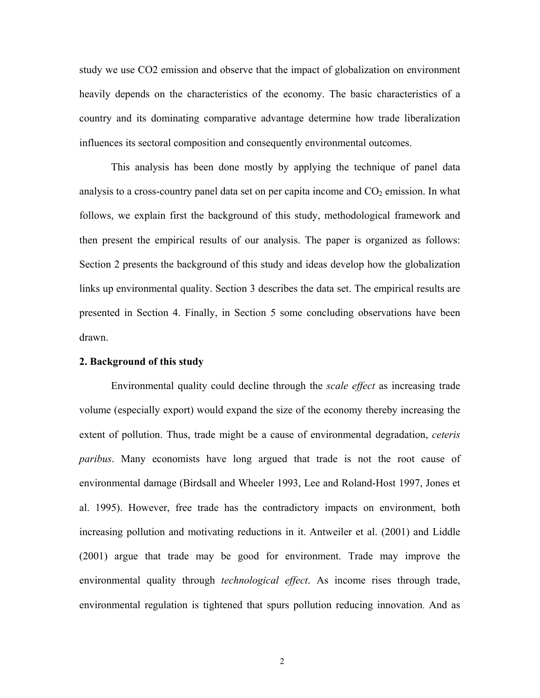study we use CO2 emission and observe that the impact of globalization on environment heavily depends on the characteristics of the economy. The basic characteristics of a country and its dominating comparative advantage determine how trade liberalization influences its sectoral composition and consequently environmental outcomes.

This analysis has been done mostly by applying the technique of panel data analysis to a cross-country panel data set on per capita income and  $CO<sub>2</sub>$  emission. In what follows, we explain first the background of this study, methodological framework and then present the empirical results of our analysis. The paper is organized as follows: Section 2 presents the background of this study and ideas develop how the globalization links up environmental quality. Section 3 describes the data set. The empirical results are presented in Section 4. Finally, in Section 5 some concluding observations have been drawn.

#### **2. Background of this study**

Environmental quality could decline through the *scale effect* as increasing trade volume (especially export) would expand the size of the economy thereby increasing the extent of pollution. Thus, trade might be a cause of environmental degradation, *ceteris paribus*. Many economists have long argued that trade is not the root cause of environmental damage (Birdsall and Wheeler 1993, Lee and Roland-Host 1997, Jones et al. 1995). However, free trade has the contradictory impacts on environment, both increasing pollution and motivating reductions in it. Antweiler et al. (2001) and Liddle (2001) argue that trade may be good for environment. Trade may improve the environmental quality through *technological effect*. As income rises through trade, environmental regulation is tightened that spurs pollution reducing innovation. And as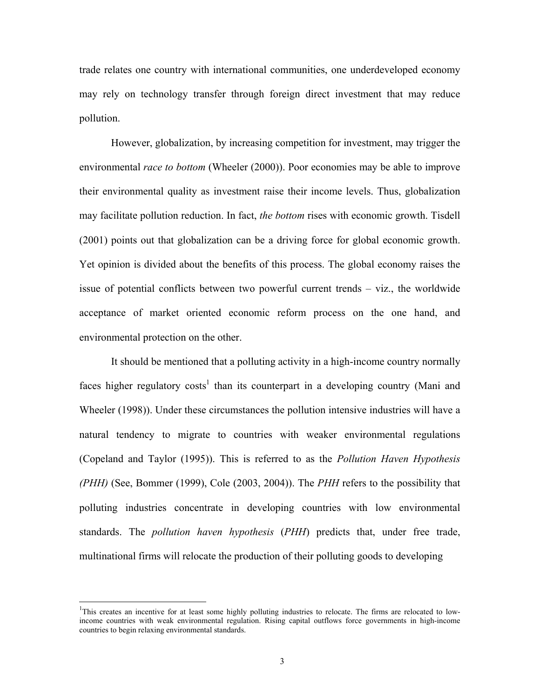trade relates one country with international communities, one underdeveloped economy may rely on technology transfer through foreign direct investment that may reduce pollution.

However, globalization, by increasing competition for investment, may trigger the environmental *race to bottom* (Wheeler (2000)). Poor economies may be able to improve their environmental quality as investment raise their income levels. Thus, globalization may facilitate pollution reduction. In fact, *the bottom* rises with economic growth. Tisdell (2001) points out that globalization can be a driving force for global economic growth. Yet opinion is divided about the benefits of this process. The global economy raises the issue of potential conflicts between two powerful current trends – viz., the worldwide acceptance of market oriented economic reform process on the one hand, and environmental protection on the other.

It should be mentioned that a polluting activity in a high-income country normally faces higher regulatory costs<sup>1</sup> than its counterpart in a developing country (Mani and Wheeler (1998)). Under these circumstances the pollution intensive industries will have a natural tendency to migrate to countries with weaker environmental regulations (Copeland and Taylor (1995)). This is referred to as the *Pollution Haven Hypothesis (PHH)* (See, Bommer (1999), Cole (2003, 2004)). The *PHH* refers to the possibility that polluting industries concentrate in developing countries with low environmental standards. The *pollution haven hypothesis* (*PHH*) predicts that, under free trade, multinational firms will relocate the production of their polluting goods to developing

 $\overline{a}$ 

<sup>&</sup>lt;sup>1</sup>This creates an incentive for at least some highly polluting industries to relocate. The firms are relocated to lowincome countries with weak environmental regulation. Rising capital outflows force governments in high-income countries to begin relaxing environmental standards.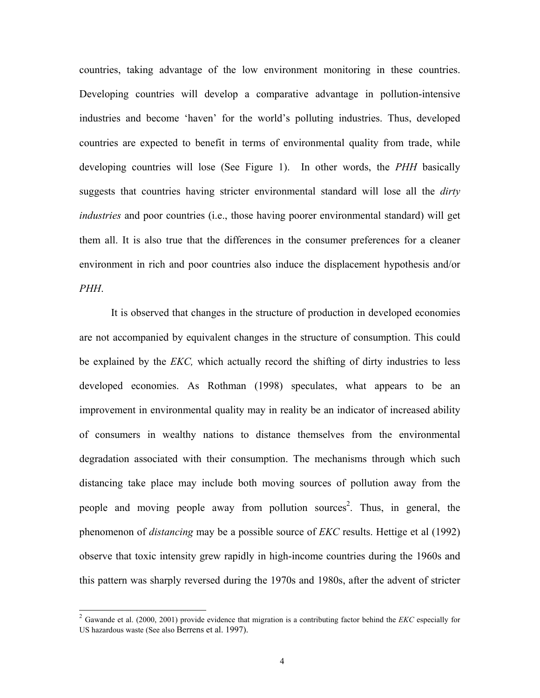countries, taking advantage of the low environment monitoring in these countries. Developing countries will develop a comparative advantage in pollution-intensive industries and become 'haven' for the world's polluting industries. Thus, developed countries are expected to benefit in terms of environmental quality from trade, while developing countries will lose (See Figure 1). In other words, the *PHH* basically suggests that countries having stricter environmental standard will lose all the *dirty industries* and poor countries (i.e., those having poorer environmental standard) will get them all. It is also true that the differences in the consumer preferences for a cleaner environment in rich and poor countries also induce the displacement hypothesis and/or *PHH*.

It is observed that changes in the structure of production in developed economies are not accompanied by equivalent changes in the structure of consumption. This could be explained by the *EKC,* which actually record the shifting of dirty industries to less developed economies. As Rothman (1998) speculates, what appears to be an improvement in environmental quality may in reality be an indicator of increased ability of consumers in wealthy nations to distance themselves from the environmental degradation associated with their consumption. The mechanisms through which such distancing take place may include both moving sources of pollution away from the people and moving people away from pollution sources<sup>2</sup>. Thus, in general, the phenomenon of *distancing* may be a possible source of *EKC* results. Hettige et al (1992) observe that toxic intensity grew rapidly in high-income countries during the 1960s and this pattern was sharply reversed during the 1970s and 1980s, after the advent of stricter

 $\overline{a}$ 

<sup>2</sup> Gawande et al. (2000, 2001) provide evidence that migration is a contributing factor behind the *EKC* especially for US hazardous waste (See also Berrens et al. 1997).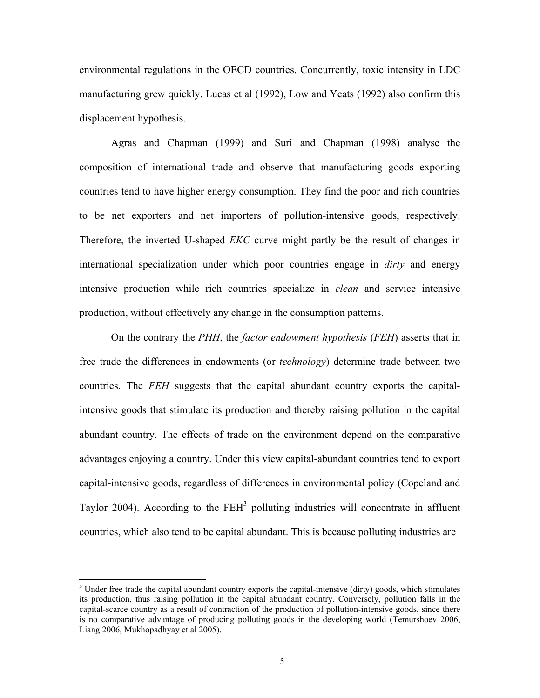environmental regulations in the OECD countries. Concurrently, toxic intensity in LDC manufacturing grew quickly. Lucas et al (1992), Low and Yeats (1992) also confirm this displacement hypothesis.

Agras and Chapman (1999) and Suri and Chapman (1998) analyse the composition of international trade and observe that manufacturing goods exporting countries tend to have higher energy consumption. They find the poor and rich countries to be net exporters and net importers of pollution-intensive goods, respectively. Therefore, the inverted U-shaped *EKC* curve might partly be the result of changes in international specialization under which poor countries engage in *dirty* and energy intensive production while rich countries specialize in *clean* and service intensive production, without effectively any change in the consumption patterns.

On the contrary the *PHH*, the *factor endowment hypothesis* (*FEH*) asserts that in free trade the differences in endowments (or *technology*) determine trade between two countries. The *FEH* suggests that the capital abundant country exports the capitalintensive goods that stimulate its production and thereby raising pollution in the capital abundant country. The effects of trade on the environment depend on the comparative advantages enjoying a country. Under this view capital-abundant countries tend to export capital-intensive goods, regardless of differences in environmental policy (Copeland and Taylor 2004). According to the  $FEH<sup>3</sup>$  polluting industries will concentrate in affluent countries, which also tend to be capital abundant. This is because polluting industries are

 $\overline{a}$ 

<sup>&</sup>lt;sup>3</sup> Under free trade the capital abundant country exports the capital-intensive (dirty) goods, which stimulates its production, thus raising pollution in the capital abundant country. Conversely, pollution falls in the capital-scarce country as a result of contraction of the production of pollution-intensive goods, since there is no comparative advantage of producing polluting goods in the developing world (Temurshoev 2006, Liang 2006, Mukhopadhyay et al 2005).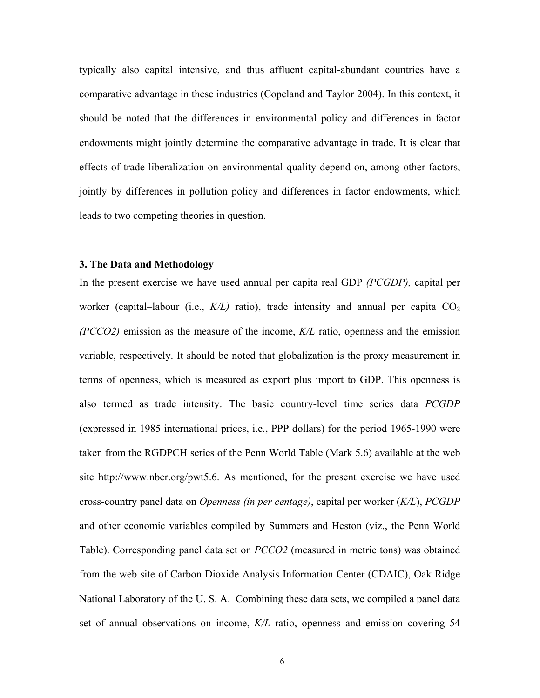typically also capital intensive, and thus affluent capital-abundant countries have a comparative advantage in these industries (Copeland and Taylor 2004). In this context, it should be noted that the differences in environmental policy and differences in factor endowments might jointly determine the comparative advantage in trade. It is clear that effects of trade liberalization on environmental quality depend on, among other factors, jointly by differences in pollution policy and differences in factor endowments, which leads to two competing theories in question.

### **3. The Data and Methodology**

In the present exercise we have used annual per capita real GDP *(PCGDP),* capital per worker (capital–labour (i.e.,  $K/L$ ) ratio), trade intensity and annual per capita  $CO<sub>2</sub>$ *(PCCO2)* emission as the measure of the income, *K/L* ratio, openness and the emission variable, respectively. It should be noted that globalization is the proxy measurement in terms of openness, which is measured as export plus import to GDP. This openness is also termed as trade intensity. The basic country-level time series data *PCGDP* (expressed in 1985 international prices, i.e., PPP dollars) for the period 1965-1990 were taken from the RGDPCH series of the Penn World Table (Mark 5.6) available at the web site http://www.nber.org/pwt5.6. As mentioned, for the present exercise we have used cross-country panel data on *Openness (in per centage)*, capital per worker (*K/L*), *PCGDP* and other economic variables compiled by Summers and Heston (viz., the Penn World Table). Corresponding panel data set on *PCCO2* (measured in metric tons) was obtained from the web site of Carbon Dioxide Analysis Information Center (CDAIC), Oak Ridge National Laboratory of the U. S. A. Combining these data sets, we compiled a panel data set of annual observations on income, *K/L* ratio, openness and emission covering 54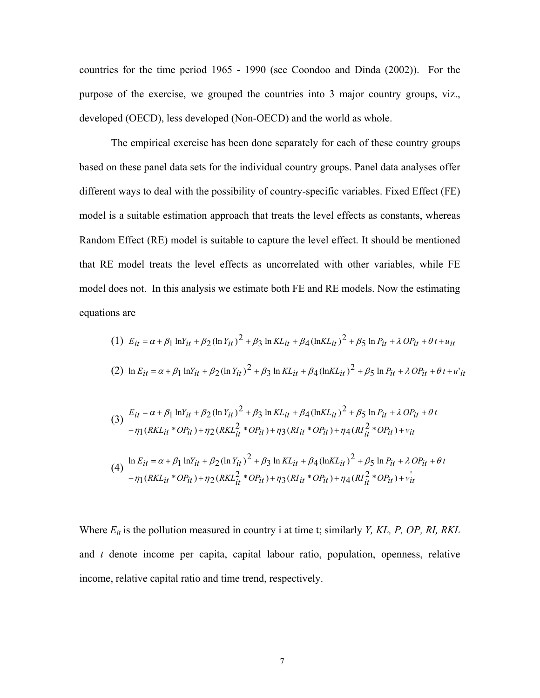countries for the time period 1965 - 1990 (see Coondoo and Dinda (2002)). For the purpose of the exercise, we grouped the countries into 3 major country groups, viz., developed (OECD), less developed (Non-OECD) and the world as whole.

The empirical exercise has been done separately for each of these country groups based on these panel data sets for the individual country groups. Panel data analyses offer different ways to deal with the possibility of country-specific variables. Fixed Effect (FE) model is a suitable estimation approach that treats the level effects as constants, whereas Random Effect (RE) model is suitable to capture the level effect. It should be mentioned that RE model treats the level effects as uncorrelated with other variables, while FE model does not. In this analysis we estimate both FE and RE models. Now the estimating equations are

(1) 
$$
E_{it} = \alpha + \beta_1 \ln Y_{it} + \beta_2 (\ln Y_{it})^2 + \beta_3 \ln KL_{it} + \beta_4 (\ln KL_{it})^2 + \beta_5 \ln P_{it} + \lambda OP_{it} + \theta t + u_{it}
$$
  
\n(2)  $\ln E_{it} = \alpha + \beta_1 \ln Y_{it} + \beta_2 (\ln Y_{it})^2 + \beta_3 \ln KL_{it} + \beta_4 (\ln KL_{it})^2 + \beta_5 \ln P_{it} + \lambda OP_{it} + \theta t + u_{it}$ 

$$
(3) \frac{E_{it} = \alpha + \beta_1 \ln Y_{it} + \beta_2 (\ln Y_{it})^2 + \beta_3 \ln KL_{it} + \beta_4 (\ln KL_{it})^2 + \beta_5 \ln P_{it} + \lambda O P_{it} + \eta_1 (RKL_{it} * OP_{it}) + \eta_2 (RKL_{it}^2 * OP_{it}) + \eta_3 (RLi_t * OP_{it}) + \eta_4 (RLi_t^2 * OP_{it}) + \nu_{it}
$$

$$
(4) \quad \ln E_{it} = \alpha + \beta_1 \ln Y_{it} + \beta_2 (\ln Y_{it})^2 + \beta_3 \ln KL_{it} + \beta_4 (\ln KL_{it})^2 + \beta_5 \ln P_{it} + \lambda O P_{it} + \theta_4 \ln KL_{it} + O P_{it}) + \eta_2 (RKL_{it}^2 * O P_{it}) + \eta_3 (RLi_{it} * O P_{it}) + \eta_4 (RLi_{it}^2 * O P_{it}) + \nu_{it}
$$

Where  $E_{it}$  is the pollution measured in country i at time t; similarly *Y, KL, P, OP, RI, RKL* and *t* denote income per capita, capital labour ratio, population, openness, relative income, relative capital ratio and time trend, respectively.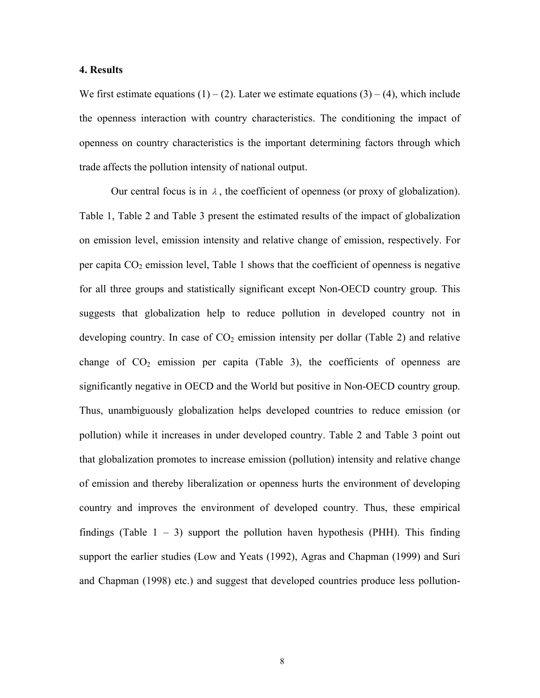#### **4. Results**

We first estimate equations  $(1) - (2)$ . Later we estimate equations  $(3) - (4)$ , which include the openness interaction with country characteristics. The conditioning the impact of openness on country characteristics is the important determining factors through which trade affects the pollution intensity of national output.

Our central focus is in  $\lambda$ , the coefficient of openness (or proxy of globalization). Table 1, Table 2 and Table 3 present the estimated results of the impact of globalization on emission level, emission intensity and relative change of emission, respectively. For per capita  $CO<sub>2</sub>$  emission level, Table 1 shows that the coefficient of openness is negative for all three groups and statistically significant except Non-OECD country group. This suggests that globalization help to reduce pollution in developed country not in developing country. In case of  $CO<sub>2</sub>$  emission intensity per dollar (Table 2) and relative change of  $CO<sub>2</sub>$  emission per capita (Table 3), the coefficients of openness are significantly negative in OECD and the World but positive in Non-OECD country group. Thus, unambiguously globalization helps developed countries to reduce emission (or pollution) while it increases in under developed country. Table 2 and Table 3 point out that globalization promotes to increase emission (pollution) intensity and relative change of emission and thereby liberalization or openness hurts the environment of developing country and improves the environment of developed country. Thus, these empirical findings (Table  $1 - 3$ ) support the pollution haven hypothesis (PHH). This finding support the earlier studies (Low and Yeats (1992), Agras and Chapman (1999) and Suri and Chapman (1998) etc.) and suggest that developed countries produce less pollution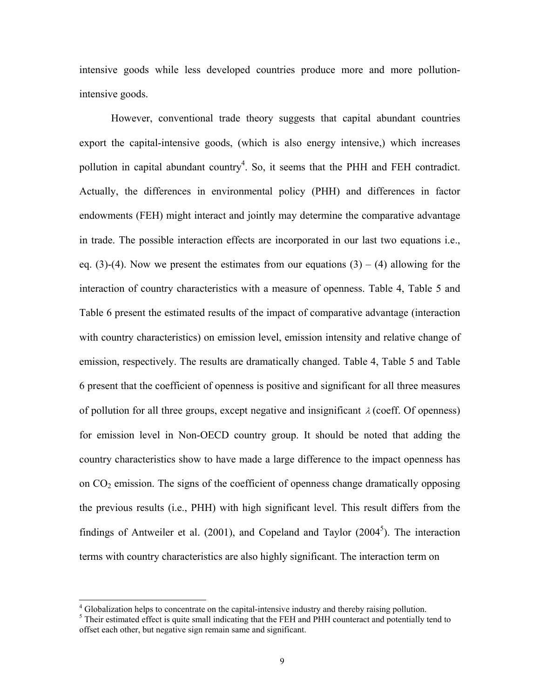intensive goods while less developed countries produce more and more pollutionintensive goods.

However, conventional trade theory suggests that capital abundant countries export the capital-intensive goods, (which is also energy intensive,) which increases pollution in capital abundant country<sup>4</sup>. So, it seems that the PHH and FEH contradict. Actually, the differences in environmental policy (PHH) and differences in factor endowments (FEH) might interact and jointly may determine the comparative advantage in trade. The possible interaction effects are incorporated in our last two equations i.e., eq. (3)-(4). Now we present the estimates from our equations  $(3) - (4)$  allowing for the interaction of country characteristics with a measure of openness. Table 4, Table 5 and Table 6 present the estimated results of the impact of comparative advantage (interaction with country characteristics) on emission level, emission intensity and relative change of emission, respectively. The results are dramatically changed. Table 4, Table 5 and Table 6 present that the coefficient of openness is positive and significant for all three measures of pollution for all three groups, except negative and insignificant  $\lambda$  (coeff. Of openness) for emission level in Non-OECD country group. It should be noted that adding the country characteristics show to have made a large difference to the impact openness has on  $CO<sub>2</sub>$  emission. The signs of the coefficient of openness change dramatically opposing the previous results (i.e., PHH) with high significant level. This result differs from the findings of Antweiler et al.  $(2001)$ , and Copeland and Taylor  $(2004<sup>5</sup>)$ . The interaction terms with country characteristics are also highly significant. The interaction term on

 4 Globalization helps to concentrate on the capital-intensive industry and thereby raising pollution.

<sup>&</sup>lt;sup>5</sup> Their estimated effect is quite small indicating that the FEH and PHH counteract and potentially tend to offset each other, but negative sign remain same and significant.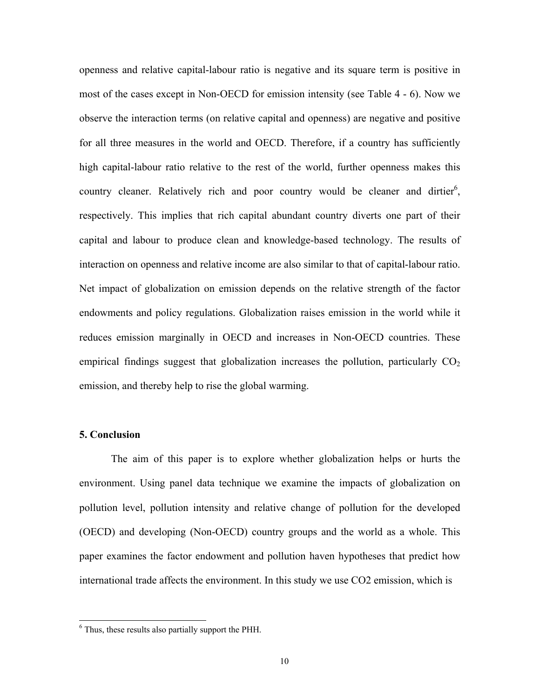openness and relative capital-labour ratio is negative and its square term is positive in most of the cases except in Non-OECD for emission intensity (see Table 4 - 6). Now we observe the interaction terms (on relative capital and openness) are negative and positive for all three measures in the world and OECD. Therefore, if a country has sufficiently high capital-labour ratio relative to the rest of the world, further openness makes this country cleaner. Relatively rich and poor country would be cleaner and dirtier<sup>6</sup>, respectively. This implies that rich capital abundant country diverts one part of their capital and labour to produce clean and knowledge-based technology. The results of interaction on openness and relative income are also similar to that of capital-labour ratio. Net impact of globalization on emission depends on the relative strength of the factor endowments and policy regulations. Globalization raises emission in the world while it reduces emission marginally in OECD and increases in Non-OECD countries. These empirical findings suggest that globalization increases the pollution, particularly  $CO<sub>2</sub>$ emission, and thereby help to rise the global warming.

#### **5. Conclusion**

 $\overline{a}$ 

The aim of this paper is to explore whether globalization helps or hurts the environment. Using panel data technique we examine the impacts of globalization on pollution level, pollution intensity and relative change of pollution for the developed (OECD) and developing (Non-OECD) country groups and the world as a whole. This paper examines the factor endowment and pollution haven hypotheses that predict how international trade affects the environment. In this study we use CO2 emission, which is

<sup>&</sup>lt;sup>6</sup> Thus, these results also partially support the PHH.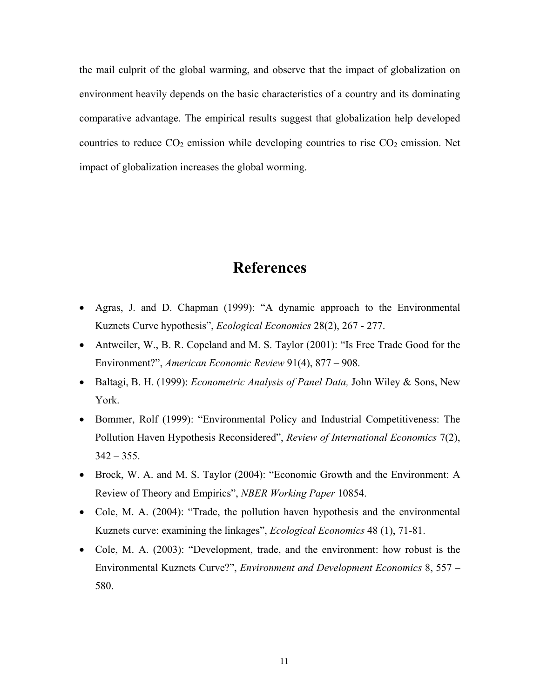the mail culprit of the global warming, and observe that the impact of globalization on environment heavily depends on the basic characteristics of a country and its dominating comparative advantage. The empirical results suggest that globalization help developed countries to reduce  $CO_2$  emission while developing countries to rise  $CO_2$  emission. Net impact of globalization increases the global worming.

## **References**

- Agras, J. and D. Chapman (1999): "A dynamic approach to the Environmental Kuznets Curve hypothesis", *Ecological Economics* 28(2), 267 - 277.
- Antweiler, W., B. R. Copeland and M. S. Taylor (2001): "Is Free Trade Good for the Environment?", *American Economic Review* 91(4), 877 – 908.
- Baltagi, B. H. (1999): *Econometric Analysis of Panel Data,* John Wiley & Sons, New York.
- Bommer, Rolf (1999): "Environmental Policy and Industrial Competitiveness: The Pollution Haven Hypothesis Reconsidered", *Review of International Economics* 7(2),  $342 - 355$ .
- Brock, W. A. and M. S. Taylor (2004): "Economic Growth and the Environment: A Review of Theory and Empirics", *NBER Working Paper* 10854.
- Cole, M. A. (2004): "Trade, the pollution haven hypothesis and the environmental Kuznets curve: examining the linkages", *Ecological Economics* 48 (1), 71-81.
- Cole, M. A. (2003): "Development, trade, and the environment: how robust is the Environmental Kuznets Curve?", *Environment and Development Economics* 8, 557 – 580.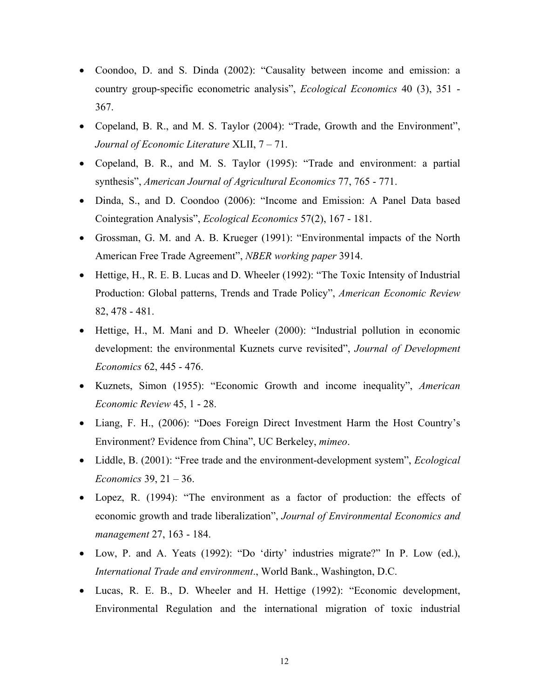- Coondoo, D. and S. Dinda (2002): "Causality between income and emission: a country group-specific econometric analysis", *Ecological Economics* 40 (3), 351 - 367.
- Copeland, B. R., and M. S. Taylor (2004): "Trade, Growth and the Environment", *Journal of Economic Literature* XLII, 7 – 71.
- Copeland, B. R., and M. S. Taylor (1995): "Trade and environment: a partial synthesis", *American Journal of Agricultural Economics* 77, 765 - 771.
- Dinda, S., and D. Coondoo (2006): "Income and Emission: A Panel Data based Cointegration Analysis", *Ecological Economics* 57(2), 167 - 181.
- Grossman, G. M. and A. B. Krueger (1991): "Environmental impacts of the North American Free Trade Agreement", *NBER working paper* 3914.
- Hettige, H., R. E. B. Lucas and D. Wheeler (1992): "The Toxic Intensity of Industrial Production: Global patterns, Trends and Trade Policy", *American Economic Review* 82, 478 - 481.
- Hettige, H., M. Mani and D. Wheeler (2000): "Industrial pollution in economic development: the environmental Kuznets curve revisited", *Journal of Development Economics* 62, 445 - 476.
- Kuznets, Simon (1955): "Economic Growth and income inequality", *American Economic Review* 45, 1 - 28.
- Liang, F. H., (2006): "Does Foreign Direct Investment Harm the Host Country's Environment? Evidence from China", UC Berkeley, *mimeo*.
- Liddle, B. (2001): "Free trade and the environment-development system", *Ecological Economics* 39, 21 – 36.
- Lopez, R. (1994): "The environment as a factor of production: the effects of economic growth and trade liberalization", *Journal of Environmental Economics and management* 27, 163 - 184.
- Low, P. and A. Yeats (1992): "Do 'dirty' industries migrate?" In P. Low (ed.), *International Trade and environment*., World Bank., Washington, D.C.
- Lucas, R. E. B., D. Wheeler and H. Hettige (1992): "Economic development, Environmental Regulation and the international migration of toxic industrial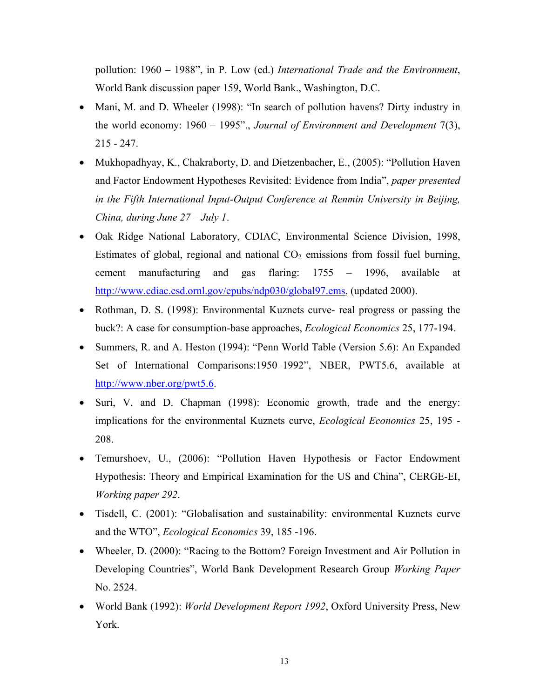pollution: 1960 – 1988", in P. Low (ed.) *International Trade and the Environment*, World Bank discussion paper 159, World Bank., Washington, D.C.

- Mani, M. and D. Wheeler (1998): "In search of pollution havens? Dirty industry in the world economy: 1960 – 1995"., *Journal of Environment and Development* 7(3), 215 - 247.
- Mukhopadhyay, K., Chakraborty, D. and Dietzenbacher, E., (2005): "Pollution Haven and Factor Endowment Hypotheses Revisited: Evidence from India", *paper presented in the Fifth International Input-Output Conference at Renmin University in Beijing, China, during June 27 – July 1*.
- Oak Ridge National Laboratory, CDIAC, Environmental Science Division, 1998, Estimates of global, regional and national  $CO<sub>2</sub>$  emissions from fossil fuel burning, cement manufacturing and gas flaring: 1755 – 1996, available at http://www.cdiac.esd.ornl.gov/epubs/ndp030/global97.ems, (updated 2000).
- Rothman, D. S. (1998): Environmental Kuznets curve- real progress or passing the buck?: A case for consumption-base approaches, *Ecological Economics* 25, 177-194.
- Summers, R. and A. Heston (1994): "Penn World Table (Version 5.6): An Expanded Set of International Comparisons:1950–1992", NBER, PWT5.6, available at http://www.nber.org/pwt5.6.
- Suri, V. and D. Chapman (1998): Economic growth, trade and the energy: implications for the environmental Kuznets curve, *Ecological Economics* 25, 195 - 208.
- Temurshoev, U., (2006): "Pollution Haven Hypothesis or Factor Endowment Hypothesis: Theory and Empirical Examination for the US and China", CERGE-EI, *Working paper 292*.
- Tisdell, C. (2001): "Globalisation and sustainability: environmental Kuznets curve and the WTO", *Ecological Economics* 39, 185 -196.
- Wheeler, D. (2000): "Racing to the Bottom? Foreign Investment and Air Pollution in Developing Countries", World Bank Development Research Group *Working Paper* No. 2524.
- World Bank (1992): *World Development Report 1992*, Oxford University Press, New York.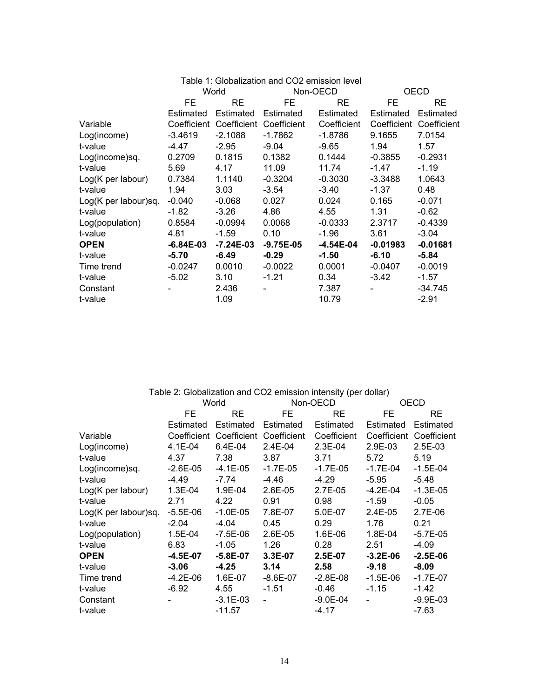|                      | Table 1: Globalization and CO2 emission level |                                     |               |             |                         |            |  |
|----------------------|-----------------------------------------------|-------------------------------------|---------------|-------------|-------------------------|------------|--|
|                      | World                                         |                                     | Non-OECD      |             | OECD                    |            |  |
|                      | FE                                            | RE                                  | FE            | <b>RE</b>   | FE                      | RE.        |  |
|                      | Estimated                                     | Estimated                           | Estimated     | Estimated   | Estimated               | Estimated  |  |
| Variable             |                                               | Coefficient Coefficient Coefficient |               | Coefficient | Coefficient Coefficient |            |  |
| Log(income)          | $-3.4619$                                     | $-2.1088$                           | $-1.7862$     | -1.8786     | 9.1655                  | 7.0154     |  |
| t-value              | -4.47                                         | $-2.95$                             | $-9.04$       | $-9.65$     | 1.94                    | 1.57       |  |
| Log(income)sq.       | 0.2709                                        | 0.1815                              | 0.1382        | 0.1444      | $-0.3855$               | $-0.2931$  |  |
| t-value              | 5.69                                          | 4.17                                | 11.09         | 11.74       | -1.47                   | $-1.19$    |  |
| $Log(K$ per labour)  | 0.7384                                        | 1.1140                              | $-0.3204$     | $-0.3030$   | -3.3488                 | 1.0643     |  |
| t-value              | 1.94                                          | 3.03                                | -3.54         | $-3.40$     | -1.37                   | 0.48       |  |
| Log(K per labour)sq. | $-0.040$                                      | $-0.068$                            | 0.027         | 0.024       | 0.165                   | $-0.071$   |  |
| t-value              | $-1.82$                                       | $-3.26$                             | 4.86          | 4.55        | 1.31                    | $-0.62$    |  |
| Log(population)      | 0.8584                                        | $-0.0994$                           | 0.0068        | $-0.0333$   | 2.3717                  | $-0.4339$  |  |
| t-value              | 4.81                                          | $-1.59$                             | 0.10          | $-1.96$     | 3.61                    | $-3.04$    |  |
| <b>OPEN</b>          | $-6.84E - 03$                                 | $-7.24E - 03$                       | $-9.75E - 05$ | $-4.54E-04$ | $-0.01983$              | $-0.01681$ |  |
| t-value              | $-5.70$                                       | $-6.49$                             | $-0.29$       | $-1.50$     | $-6.10$                 | $-5.84$    |  |
| Time trend           | $-0.0247$                                     | 0.0010                              | $-0.0022$     | 0.0001      | $-0.0407$               | $-0.0019$  |  |
| t-value              | $-5.02$                                       | 3.10                                | $-1.21$       | 0.34        | $-3.42$                 | $-1.57$    |  |
| Constant             |                                               | 2.436                               |               | 7.387       |                         | $-34.745$  |  |
| t-value              |                                               | 1.09                                |               | 10.79       |                         | $-2.91$    |  |

| Table 2: Globalization and CO2 emission intensity (per dollar) |              |              |                                     |              |              |                         |  |
|----------------------------------------------------------------|--------------|--------------|-------------------------------------|--------------|--------------|-------------------------|--|
|                                                                | World        |              | Non-OECD                            |              | OECD         |                         |  |
|                                                                | FE           | <b>RE</b>    | FE                                  | <b>RE</b>    | FE           | RE                      |  |
|                                                                | Estimated    | Estimated    | Estimated                           | Estimated    | Estimated    | Estimated               |  |
| Variable                                                       |              |              | Coefficient Coefficient Coefficient | Coefficient  |              | Coefficient Coefficient |  |
| Log(income)                                                    | 4.1E-04      | 6.4E-04      | 2.4E-04                             | $2.3E-04$    | 2.9E-03      | $2.5E-03$               |  |
| t-value                                                        | 4.37         | 7.38         | 3.87                                | 3.71         | 5.72         | 5.19                    |  |
| Log(income)sq.                                                 | $-2.6E - 05$ | -4.1E-05     | -1.7E-05                            | $-1.7E-05$   | -1.7E-04     | $-1.5E-04$              |  |
| t-value                                                        | $-4.49$      | $-7.74$      | $-4.46$                             | $-4.29$      | $-5.95$      | $-5.48$                 |  |
| Log(K per labour)                                              | 1.3E-04      | 1.9E-04      | 2.6E-05                             | 2.7E-05      | -4.2E-04     | $-1.3E-05$              |  |
| t-value                                                        | 2.71         | 4.22         | 0.91                                | 0.98         | $-1.59$      | $-0.05$                 |  |
| Log(K per labour)sq.                                           | $-5.5E - 06$ | $-1.0E-05$   | 7.8E-07                             | 5.0E-07      | 2.4E-05      | 2.7E-06                 |  |
| t-value                                                        | $-2.04$      | $-4.04$      | 0.45                                | 0.29         | 1.76         | 0.21                    |  |
| Log(population)                                                | 1.5E-04      | -7.5E-06     | 2.6E-05                             | 1.6E-06      | 1.8E-04      | $-5.7E-05$              |  |
| t-value                                                        | 6.83         | $-1.05$      | 1.26                                | 0.28         | 2.51         | $-4.09$                 |  |
| <b>OPEN</b>                                                    | $-4.5E-07$   | $-5.8E - 07$ | $3.3E-07$                           | 2.5E-07      | $-3.2E-06$   | $-2.5E-06$              |  |
| t-value                                                        | $-3.06$      | $-4.25$      | 3.14                                | 2.58         | $-9.18$      | $-8.09$                 |  |
| Time trend                                                     | -4.2E-06     | 1.6E-07      | $-8.6E-07$                          | $-2.8E - 08$ | $-1.5E - 06$ | $-1.7E-07$              |  |
| t-value                                                        | $-6.92$      | 4.55         | $-1.51$                             | -0.46        | $-1.15$      | $-1.42$                 |  |
| Constant                                                       |              | $-3.1E - 03$ |                                     | $-9.0E - 04$ |              | $-9.9E - 03$            |  |
| t-value                                                        |              | $-11.57$     |                                     | -4.17        |              | $-7.63$                 |  |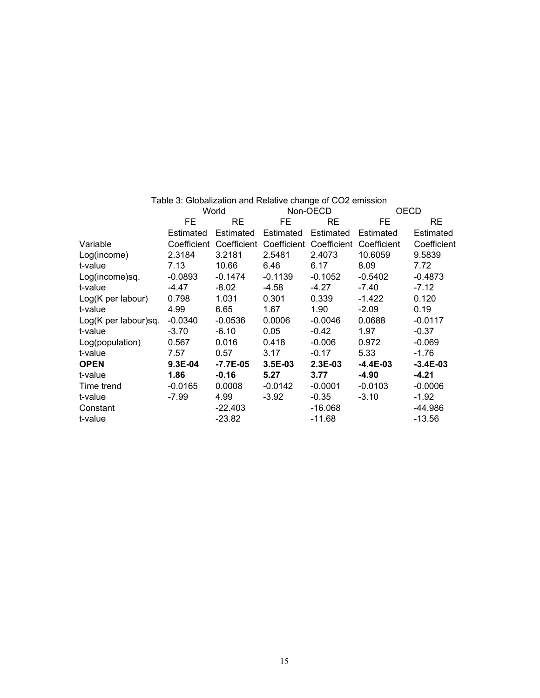|                      | World       |             | Non-OECD  |                         | <b>OECD</b> |             |
|----------------------|-------------|-------------|-----------|-------------------------|-------------|-------------|
|                      | FE          | RE          | FE.       | <b>RE</b>               | FE          | <b>RE</b>   |
|                      | Estimated   | Estimated   | Estimated | Estimated               | Estimated   | Estimated   |
| Variable             | Coefficient | Coefficient |           | Coefficient Coefficient | Coefficient | Coefficient |
| Log(income)          | 2.3184      | 3.2181      | 2.5481    | 2.4073                  | 10.6059     | 9.5839      |
| t-value              | 7.13        | 10.66       | 6.46      | 6.17                    | 8.09        | 7.72        |
| Log(income)sq.       | $-0.0893$   | -0.1474     | $-0.1139$ | $-0.1052$               | $-0.5402$   | $-0.4873$   |
| t-value              | -4.47       | $-8.02$     | -4.58     | -4.27                   | -7.40       | $-7.12$     |
| Log(K per labour)    | 0.798       | 1.031       | 0.301     | 0.339                   | $-1.422$    | 0.120       |
| t-value              | 4.99        | 6.65        | 1.67      | 1.90                    | $-2.09$     | 0.19        |
| Log(K per labour)sq. | $-0.0340$   | $-0.0536$   | 0.0006    | $-0.0046$               | 0.0688      | $-0.0117$   |
| t-value              | $-3.70$     | $-6.10$     | 0.05      | $-0.42$                 | 1.97        | $-0.37$     |
| Log(population)      | 0.567       | 0.016       | 0.418     | $-0.006$                | 0.972       | $-0.069$    |
| t-value              | 7.57        | 0.57        | 3.17      | $-0.17$                 | 5.33        | $-1.76$     |
| <b>OPEN</b>          | 9.3E-04     | -7.7E-05    | 3.5E-03   | $2.3E-03$               | $-4.4E-03$  | $-3.4E-03$  |
| t-value              | 1.86        | $-0.16$     | 5.27      | 3.77                    | $-4.90$     | $-4.21$     |
| Time trend           | $-0.0165$   | 0.0008      | $-0.0142$ | $-0.0001$               | $-0.0103$   | $-0.0006$   |
| t-value              | $-7.99$     | 4.99        | $-3.92$   | $-0.35$                 | $-3.10$     | $-1.92$     |
| Constant             |             | $-22.403$   |           | $-16.068$               |             | $-44.986$   |
| t-value              |             | $-23.82$    |           | $-11.68$                |             | $-13.56$    |

Table 3: Globalization and Relative change of CO2 emission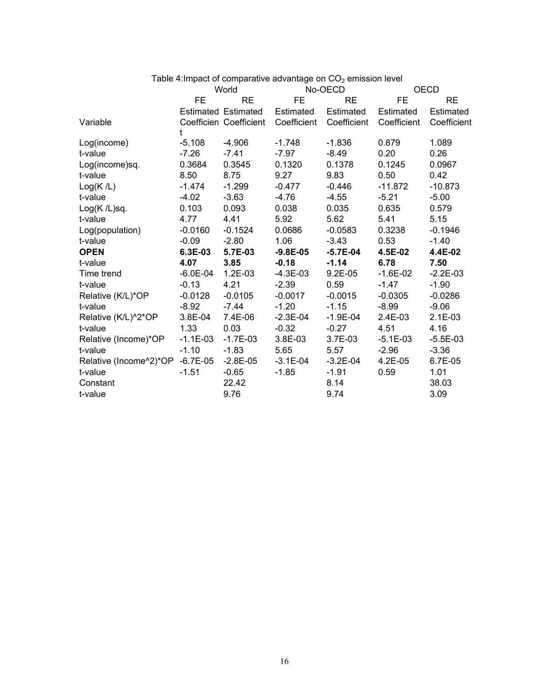|                        |              |                            |              | Table 4: Impact of comparative advantage on $CO2$ emission level |             |             |
|------------------------|--------------|----------------------------|--------------|------------------------------------------------------------------|-------------|-------------|
|                        | World        |                            | No-OECD      |                                                                  | <b>OECD</b> |             |
|                        | FE.          | <b>RE</b>                  | FE           | <b>RE</b>                                                        | FE          | <b>RE</b>   |
|                        |              | <b>Estimated Estimated</b> | Estimated    | Estimated                                                        | Estimated   | Estimated   |
| Variable               | t            | Coefficien Coefficient     | Coefficient  | Coefficient                                                      | Coefficient | Coefficient |
| Log(income)            | $-5.108$     | $-4.906$                   | $-1.748$     | $-1.836$                                                         | 0.879       | 1.089       |
| t-value                | $-7.26$      | $-7.41$                    | $-7.97$      | $-8.49$                                                          | 0.20        | 0.26        |
| Log(income)sq.         | 0.3684       | 0.3545                     | 0.1320       | 0.1378                                                           | 0.1245      | 0.0967      |
| t-value                | 8.50         | 8.75                       | 9.27         | 9.83                                                             | 0.50        | 0.42        |
| Log(K/L)               | $-1.474$     | $-1.299$                   | $-0.477$     | $-0.446$                                                         | $-11.872$   | $-10.873$   |
| t-value                | $-4.02$      | $-3.63$                    | $-4.76$      | $-4.55$                                                          | $-5.21$     | $-5.00$     |
| $Log(K/L)$ sq.         | 0.103        | 0.093                      | 0.038        | 0.035                                                            | 0.635       | 0.579       |
| t-value                | 4.77         | 4.41                       | 5.92         | 5.62                                                             | 5.41        | 5.15        |
| Log(population)        | $-0.0160$    | $-0.1524$                  | 0.0686       | $-0.0583$                                                        | 0.3238      | $-0.1946$   |
| t-value                | $-0.09$      | $-2.80$                    | 1.06         | $-3.43$                                                          | 0.53        | $-1.40$     |
| <b>OPEN</b>            | 6.3E-03      | 5.7E-03                    | $-9.8E - 05$ | $-5.7E-04$                                                       | 4.5E-02     | 4.4E-02     |
| t-value                | 4.07         | 3.85                       | $-0.18$      | $-1.14$                                                          | 6.78        | 7.50        |
| Time trend             | $-6.0E - 04$ | $1.2E-03$                  | $-4.3E-03$   | $9.2E-05$                                                        | $-1.6E-02$  | $-2.2E-03$  |
| t-value                | $-0.13$      | 4.21                       | $-2.39$      | 0.59                                                             | $-1.47$     | $-1.90$     |
| Relative (K/L)*OP      | $-0.0128$    | $-0.0105$                  | $-0.0017$    | $-0.0015$                                                        | $-0.0305$   | $-0.0286$   |
| t-value                | $-8.92$      | $-7.44$                    | $-1.20$      | $-1.15$                                                          | $-8.99$     | $-9.06$     |
| Relative (K/L)^2*OP    | 3.8E-04      | 7.4E-06                    | $-2.3E-04$   | $-1.9E - 04$                                                     | 2.4E-03     | $2.1E-03$   |
| t-value                | 1.33         | 0.03                       | $-0.32$      | $-0.27$                                                          | 4.51        | 4.16        |
| Relative (Income)*OP   | $-1.1E-03$   | $-1.7E-03$                 | 3.8E-03      | 3.7E-03                                                          | $-5.1E-03$  | $-5.5E-03$  |
| t-value                | $-1.10$      | $-1.83$                    | 5.65         | 5.57                                                             | $-2.96$     | $-3.36$     |
| Relative (Income^2)*OP | $-6.7E-05$   | $-2.8E-05$                 | $-3.1E-04$   | $-3.2E-04$                                                       | 4.2E-05     | 6.7E-05     |
| t-value                | $-1.51$      | $-0.65$                    | $-1.85$      | $-1.91$                                                          | 0.59        | 1.01        |
| Constant               |              | 22.42                      |              | 8.14                                                             |             | 38.03       |
| t-value                |              | 9.76                       |              | 9.74                                                             |             | 3.09        |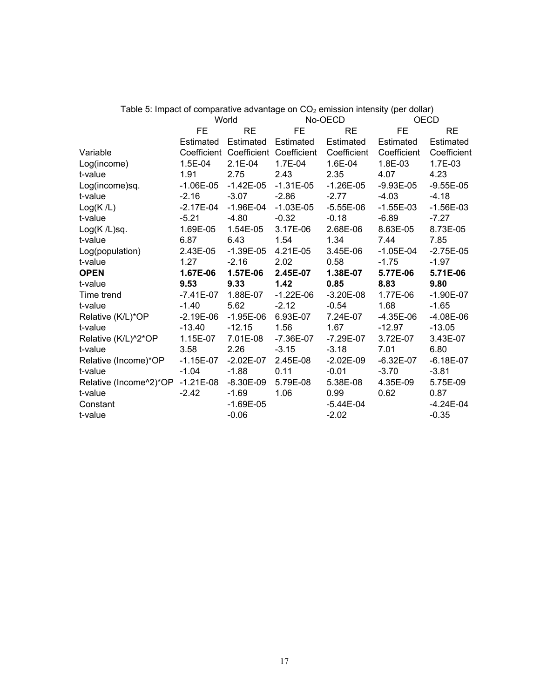|                        |               | World                               |             | No-OECD       | $\sigma$ . Impact of comparative devantage on $\sigma$ ez omnocion intendity (por dollar)<br><b>OECD</b> |               |
|------------------------|---------------|-------------------------------------|-------------|---------------|----------------------------------------------------------------------------------------------------------|---------------|
|                        | <b>FE</b>     | <b>RE</b>                           | <b>FE</b>   | <b>RE</b>     | <b>FE</b>                                                                                                | <b>RE</b>     |
|                        | Estimated     | Estimated                           | Estimated   | Estimated     | Estimated                                                                                                | Estimated     |
| Variable               |               | Coefficient Coefficient Coefficient |             | Coefficient   | Coefficient                                                                                              | Coefficient   |
| Log(income)            | 1.5E-04       | $2.1E-04$                           | 1.7E-04     | 1.6E-04       | 1.8E-03                                                                                                  | 1.7E-03       |
| t-value                | 1.91          | 2.75                                | 2.43        | 2.35          | 4.07                                                                                                     | 4.23          |
| Log(income)sq.         | $-1.06E - 05$ | $-1.42E-05$                         | $-1.31E-05$ | $-1.26E - 05$ | $-9.93E - 05$                                                                                            | $-9.55E-05$   |
| t-value                | $-2.16$       | $-3.07$                             | $-2.86$     | $-2.77$       | $-4.03$                                                                                                  | $-4.18$       |
| Log(K/L)               | $-2.17E-04$   | $-1.96E - 04$                       | $-1.03E-05$ | $-5.55E-06$   | $-1.55E-03$                                                                                              | $-1.56E-03$   |
| t-value                | $-5.21$       | $-4.80$                             | $-0.32$     | $-0.18$       | $-6.89$                                                                                                  | $-7.27$       |
| Log(K /L)sq.           | 1.69E-05      | 1.54E-05                            | 3.17E-06    | 2.68E-06      | 8.63E-05                                                                                                 | 8.73E-05      |
| t-value                | 6.87          | 6.43                                | 1.54        | 1.34          | 7.44                                                                                                     | 7.85          |
| Log(population)        | 2.43E-05      | $-1.39E - 05$                       | 4.21E-05    | 3.45E-06      | $-1.05E-04$                                                                                              | $-2.75E-05$   |
| t-value                | 1.27          | $-2.16$                             | 2.02        | 0.58          | $-1.75$                                                                                                  | $-1.97$       |
| <b>OPEN</b>            | 1.67E-06      | 1.57E-06                            | 2.45E-07    | 1.38E-07      | 5.77E-06                                                                                                 | 5.71E-06      |
| t-value                | 9.53          | 9.33                                | 1.42        | 0.85          | 8.83                                                                                                     | 9.80          |
| Time trend             | $-7.41E-07$   | 1.88E-07                            | $-1.22E-06$ | $-3.20E - 08$ | 1.77E-06                                                                                                 | $-1.90E - 07$ |
| t-value                | $-1.40$       | 5.62                                | $-2.12$     | $-0.54$       | 1.68                                                                                                     | $-1.65$       |
| Relative (K/L)*OP      | $-2.19E-06$   | $-1.95E-06$                         | 6.93E-07    | 7.24E-07      | $-4.35E-06$                                                                                              | $-4.08E-06$   |
| t-value                | $-13.40$      | $-12.15$                            | 1.56        | 1.67          | $-12.97$                                                                                                 | $-13.05$      |
| Relative (K/L)^2*OP    | 1.15E-07      | 7.01E-08                            | -7.36E-07   | -7.29E-07     | 3.72E-07                                                                                                 | 3.43E-07      |
| t-value                | 3.58          | 2.26                                | $-3.15$     | $-3.18$       | 7.01                                                                                                     | 6.80          |
| Relative (Income)*OP   | $-1.15E-07$   | $-2.02E-07$                         | 2.45E-08    | $-2.02E-09$   | $-6.32E-07$                                                                                              | $-6.18E - 07$ |
| t-value                | $-1.04$       | $-1.88$                             | 0.11        | $-0.01$       | $-3.70$                                                                                                  | $-3.81$       |
| Relative (Income^2)*OP | $-1.21E-08$   | $-8.30E-09$                         | 5.79E-08    | 5.38E-08      | 4.35E-09                                                                                                 | 5.75E-09      |
| t-value                | $-2.42$       | $-1.69$                             | 1.06        | 0.99          | 0.62                                                                                                     | 0.87          |
| Constant               |               | $-1.69E-05$                         |             | $-5.44E-04$   |                                                                                                          | $-4.24E-04$   |
| t-value                |               | $-0.06$                             |             | $-2.02$       |                                                                                                          | $-0.35$       |

Table 5: Impact of comparative advantage on  $CO<sub>2</sub>$  emission intensity (per dollar)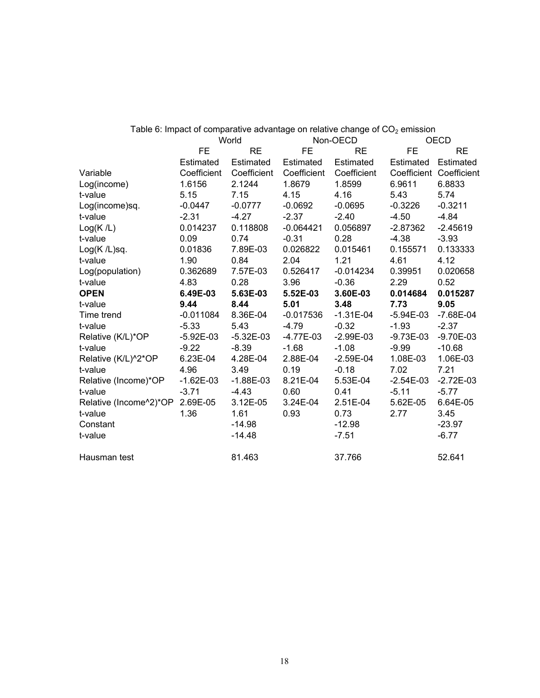|                        |             |             |             | Table 6: Impact of comparative advantage on relative change of $CO2$ emission |                         |               |
|------------------------|-------------|-------------|-------------|-------------------------------------------------------------------------------|-------------------------|---------------|
|                        | World       |             | Non-OECD    |                                                                               | <b>OECD</b>             |               |
|                        | <b>FE</b>   | <b>RE</b>   | <b>FE</b>   | RE                                                                            | <b>FE</b>               | <b>RE</b>     |
|                        | Estimated   | Estimated   | Estimated   | Estimated                                                                     | Estimated               | Estimated     |
| Variable               | Coefficient | Coefficient | Coefficient | Coefficient                                                                   | Coefficient Coefficient |               |
| Log(income)            | 1.6156      | 2.1244      | 1.8679      | 1.8599                                                                        | 6.9611                  | 6.8833        |
| t-value                | 5.15        | 7.15        | 4.15        | 4.16                                                                          | 5.43                    | 5.74          |
| Log(income)sq.         | $-0.0447$   | $-0.0777$   | $-0.0692$   | $-0.0695$                                                                     | $-0.3226$               | $-0.3211$     |
| t-value                | $-2.31$     | $-4.27$     | $-2.37$     | $-2.40$                                                                       | $-4.50$                 | $-4.84$       |
| Log(K/L)               | 0.014237    | 0.118808    | $-0.064421$ | 0.056897                                                                      | $-2.87362$              | $-2.45619$    |
| t-value                | 0.09        | 0.74        | $-0.31$     | 0.28                                                                          | $-4.38$                 | $-3.93$       |
| $Log(K/L)$ sq.         | 0.01836     | 7.89E-03    | 0.026822    | 0.015461                                                                      | 0.155571                | 0.133333      |
| t-value                | 1.90        | 0.84        | 2.04        | 1.21                                                                          | 4.61                    | 4.12          |
| Log(population)        | 0.362689    | 7.57E-03    | 0.526417    | $-0.014234$                                                                   | 0.39951                 | 0.020658      |
| t-value                | 4.83        | 0.28        | 3.96        | $-0.36$                                                                       | 2.29                    | 0.52          |
| <b>OPEN</b>            | 6.49E-03    | 5.63E-03    | 5.52E-03    | 3.60E-03                                                                      | 0.014684                | 0.015287      |
| t-value                | 9.44        | 8.44        | 5.01        | 3.48                                                                          | 7.73                    | 9.05          |
| Time trend             | $-0.011084$ | 8.36E-04    | $-0.017536$ | $-1.31E-04$                                                                   | $-5.94E-03$             | $-7.68E - 04$ |
| t-value                | $-5.33$     | 5.43        | $-4.79$     | $-0.32$                                                                       | $-1.93$                 | $-2.37$       |
| Relative (K/L)*OP      | $-5.92E-03$ | $-5.32E-03$ | $-4.77E-03$ | $-2.99E-03$                                                                   | $-9.73E-03$             | $-9.70E-03$   |
| t-value                | $-9.22$     | $-8.39$     | $-1.68$     | $-1.08$                                                                       | $-9.99$                 | $-10.68$      |
| Relative (K/L)^2*OP    | 6.23E-04    | 4.28E-04    | 2.88E-04    | $-2.59E-04$                                                                   | 1.08E-03                | 1.06E-03      |
| t-value                | 4.96        | 3.49        | 0.19        | $-0.18$                                                                       | 7.02                    | 7.21          |
| Relative (Income)*OP   | $-1.62E-03$ | $-1.88E-03$ | 8.21E-04    | 5.53E-04                                                                      | $-2.54E-03$             | $-2.72E-03$   |
| t-value                | $-3.71$     | $-4.43$     | 0.60        | 0.41                                                                          | $-5.11$                 | $-5.77$       |
| Relative (Income^2)*OP | 2.69E-05    | 3.12E-05    | 3.24E-04    | 2.51E-04                                                                      | 5.62E-05                | 6.64E-05      |
| t-value                | 1.36        | 1.61        | 0.93        | 0.73                                                                          | 2.77                    | 3.45          |
| Constant               |             | $-14.98$    |             | $-12.98$                                                                      |                         | $-23.97$      |
| t-value                |             | $-14.48$    |             | $-7.51$                                                                       |                         | $-6.77$       |
| Hausman test           |             | 81.463      |             | 37.766                                                                        |                         | 52.641        |